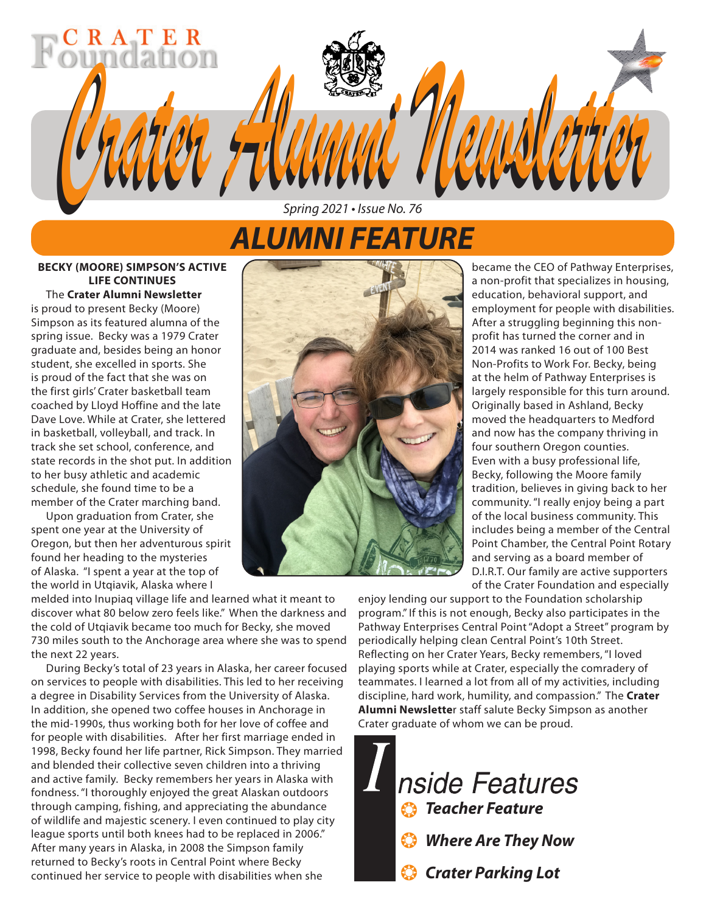# *ALUMNI FEATURE*

*Spring 2021 • Issue No. 76*

*Crater Alumni Newsletter Crater Alumni Newsletter*

### **BECKY (MOORE) SIMPSON'S ACTIVE LIFE CONTINUES**

RATER

The **Crater Alumni Newsletter** is proud to present Becky (Moore) Simpson as its featured alumna of the spring issue. Becky was a 1979 Crater graduate and, besides being an honor student, she excelled in sports. She is proud of the fact that she was on the first girls' Crater basketball team coached by Lloyd Hoffine and the late Dave Love. While at Crater, she lettered in basketball, volleyball, and track. In track she set school, conference, and state records in the shot put. In addition to her busy athletic and academic schedule, she found time to be a member of the Crater marching band.

Upon graduation from Crater, she spent one year at the University of Oregon, but then her adventurous spirit found her heading to the mysteries of Alaska. "I spent a year at the top of the world in Utqiavik, Alaska where I

melded into Inupiaq village life and learned what it meant to discover what 80 below zero feels like." When the darkness and the cold of Utqiavik became too much for Becky, she moved 730 miles south to the Anchorage area where she was to spend the next 22 years.

During Becky's total of 23 years in Alaska, her career focused on services to people with disabilities. This led to her receiving a degree in Disability Services from the University of Alaska. In addition, she opened two coffee houses in Anchorage in the mid-1990s, thus working both for her love of coffee and for people with disabilities. After her first marriage ended in 1998, Becky found her life partner, Rick Simpson. They married and blended their collective seven children into a thriving and active family. Becky remembers her years in Alaska with fondness. "I thoroughly enjoyed the great Alaskan outdoors through camping, fishing, and appreciating the abundance of wildlife and majestic scenery. I even continued to play city league sports until both knees had to be replaced in 2006." After many years in Alaska, in 2008 the Simpson family returned to Becky's roots in Central Point where Becky continued her service to people with disabilities when she



became the CEO of Pathway Enterprises, a non-profit that specializes in housing, education, behavioral support, and employment for people with disabilities. After a struggling beginning this nonprofit has turned the corner and in 2014 was ranked 16 out of 100 Best Non-Profits to Work For. Becky, being at the helm of Pathway Enterprises is largely responsible for this turn around. Originally based in Ashland, Becky moved the headquarters to Medford and now has the company thriving in four southern Oregon counties. Even with a busy professional life, Becky, following the Moore family tradition, believes in giving back to her community. "I really enjoy being a part of the local business community. This includes being a member of the Central Point Chamber, the Central Point Rotary and serving as a board member of D.I.R.T. Our family are active supporters of the Crater Foundation and especially

enjoy lending our support to the Foundation scholarship program." If this is not enough, Becky also participates in the Pathway Enterprises Central Point "Adopt a Street" program by periodically helping clean Central Point's 10th Street. Reflecting on her Crater Years, Becky remembers, "I loved playing sports while at Crater, especially the comradery of teammates. I learned a lot from all of my activities, including discipline, hard work, humility, and compassion." The **Crater Alumni Newslette**r staff salute Becky Simpson as another Crater graduate of whom we can be proud.

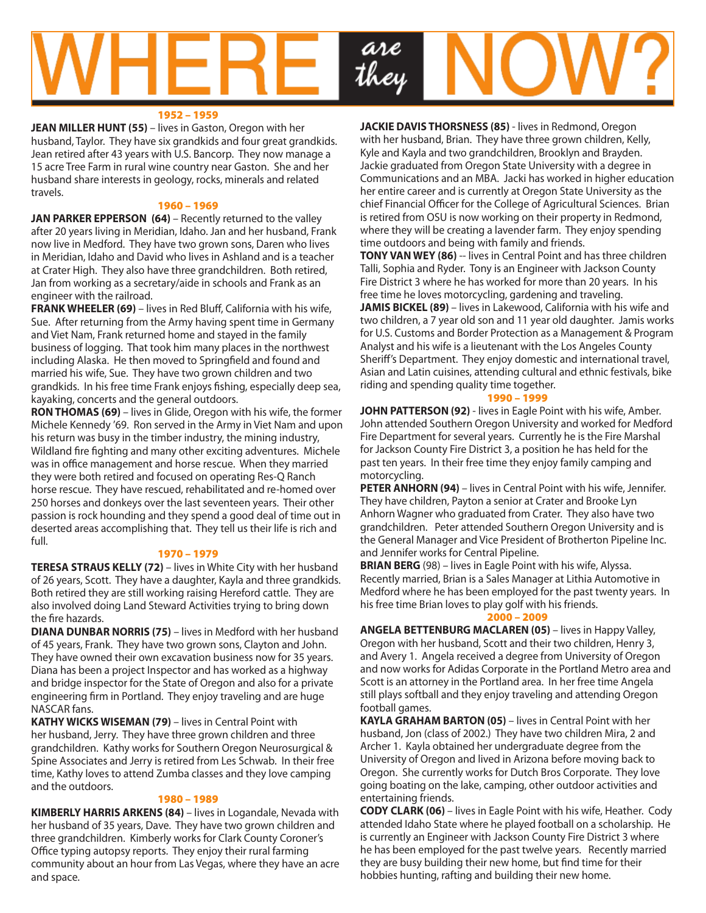

#### 1952 – 1959

**JEAN MILLER HUNT (55)** – lives in Gaston, Oregon with her husband, Taylor. They have six grandkids and four great grandkids. Jean retired after 43 years with U.S. Bancorp. They now manage a 15 acre Tree Farm in rural wine country near Gaston. She and her husband share interests in geology, rocks, minerals and related travels.

#### 1960 – 1969

**JAN PARKER EPPERSON (64)** – Recently returned to the valley after 20 years living in Meridian, Idaho. Jan and her husband, Frank now live in Medford. They have two grown sons, Daren who lives in Meridian, Idaho and David who lives in Ashland and is a teacher at Crater High. They also have three grandchildren. Both retired, Jan from working as a secretary/aide in schools and Frank as an engineer with the railroad.

**FRANK WHEELER (69)** – lives in Red Bluff, California with his wife, Sue. After returning from the Army having spent time in Germany and Viet Nam, Frank returned home and stayed in the family business of logging. That took him many places in the northwest including Alaska. He then moved to Springfield and found and married his wife, Sue. They have two grown children and two grandkids. In his free time Frank enjoys fishing, especially deep sea, kayaking, concerts and the general outdoors.

**RON THOMAS (69)** – lives in Glide, Oregon with his wife, the former Michele Kennedy '69. Ron served in the Army in Viet Nam and upon his return was busy in the timber industry, the mining industry, Wildland fire fighting and many other exciting adventures. Michele was in office management and horse rescue. When they married they were both retired and focused on operating Res-Q Ranch horse rescue. They have rescued, rehabilitated and re-homed over 250 horses and donkeys over the last seventeen years. Their other passion is rock hounding and they spend a good deal of time out in deserted areas accomplishing that. They tell us their life is rich and full.

#### 1970 – 1979

**TERESA STRAUS KELLY (72)** – lives in White City with her husband of 26 years, Scott. They have a daughter, Kayla and three grandkids. Both retired they are still working raising Hereford cattle. They are also involved doing Land Steward Activities trying to bring down the fire hazards.

**DIANA DUNBAR NORRIS (75)** – lives in Medford with her husband of 45 years, Frank. They have two grown sons, Clayton and John. They have owned their own excavation business now for 35 years. Diana has been a project Inspector and has worked as a highway and bridge inspector for the State of Oregon and also for a private engineering firm in Portland. They enjoy traveling and are huge NASCAR fans.

**KATHY WICKS WISEMAN (79)** – lives in Central Point with her husband, Jerry. They have three grown children and three grandchildren. Kathy works for Southern Oregon Neurosurgical & Spine Associates and Jerry is retired from Les Schwab. In their free time, Kathy loves to attend Zumba classes and they love camping and the outdoors.

#### 1980 – 1989

**KIMBERLY HARRIS ARKENS (84)** – lives in Logandale, Nevada with her husband of 35 years, Dave. They have two grown children and three grandchildren. Kimberly works for Clark County Coroner's Office typing autopsy reports. They enjoy their rural farming community about an hour from Las Vegas, where they have an acre and space.

**JACKIE DAVIS THORSNESS (85)** - lives in Redmond, Oregon with her husband, Brian. They have three grown children, Kelly, Kyle and Kayla and two grandchildren, Brooklyn and Brayden. Jackie graduated from Oregon State University with a degree in Communications and an MBA. Jacki has worked in higher education her entire career and is currently at Oregon State University as the chief Financial Officer for the College of Agricultural Sciences. Brian is retired from OSU is now working on their property in Redmond, where they will be creating a lavender farm. They enjoy spending time outdoors and being with family and friends.

**TONY VAN WEY (86)** -- lives in Central Point and has three children Talli, Sophia and Ryder. Tony is an Engineer with Jackson County Fire District 3 where he has worked for more than 20 years. In his free time he loves motorcycling, gardening and traveling.

**JAMIS BICKEL (89)** – lives in Lakewood, California with his wife and two children, a 7 year old son and 11 year old daughter. Jamis works for U.S. Customs and Border Protection as a Management & Program Analyst and his wife is a lieutenant with the Los Angeles County Sheriff's Department. They enjoy domestic and international travel, Asian and Latin cuisines, attending cultural and ethnic festivals, bike riding and spending quality time together.

#### 1990 – 1999

**JOHN PATTERSON (92)** - lives in Eagle Point with his wife, Amber. John attended Southern Oregon University and worked for Medford Fire Department for several years. Currently he is the Fire Marshal for Jackson County Fire District 3, a position he has held for the past ten years. In their free time they enjoy family camping and motorcycling.

**PETER ANHORN (94)** – lives in Central Point with his wife, Jennifer. They have children, Payton a senior at Crater and Brooke Lyn Anhorn Wagner who graduated from Crater. They also have two grandchildren. Peter attended Southern Oregon University and is the General Manager and Vice President of Brotherton Pipeline Inc. and Jennifer works for Central Pipeline.

**BRIAN BERG** (98) – lives in Eagle Point with his wife, Alyssa. Recently married, Brian is a Sales Manager at Lithia Automotive in Medford where he has been employed for the past twenty years. In his free time Brian loves to play golf with his friends.

#### 2000 – 2009

**ANGELA BETTENBURG MACLAREN (05)** – lives in Happy Valley, Oregon with her husband, Scott and their two children, Henry 3, and Avery 1. Angela received a degree from University of Oregon and now works for Adidas Corporate in the Portland Metro area and Scott is an attorney in the Portland area. In her free time Angela still plays softball and they enjoy traveling and attending Oregon football games.

**KAYLA GRAHAM BARTON (05)** – lives in Central Point with her husband, Jon (class of 2002.) They have two children Mira, 2 and Archer 1. Kayla obtained her undergraduate degree from the University of Oregon and lived in Arizona before moving back to Oregon. She currently works for Dutch Bros Corporate. They love going boating on the lake, camping, other outdoor activities and entertaining friends.

**CODY CLARK (06)** – lives in Eagle Point with his wife, Heather. Cody attended Idaho State where he played football on a scholarship. He is currently an Engineer with Jackson County Fire District 3 where he has been employed for the past twelve years. Recently married they are busy building their new home, but find time for their hobbies hunting, rafting and building their new home.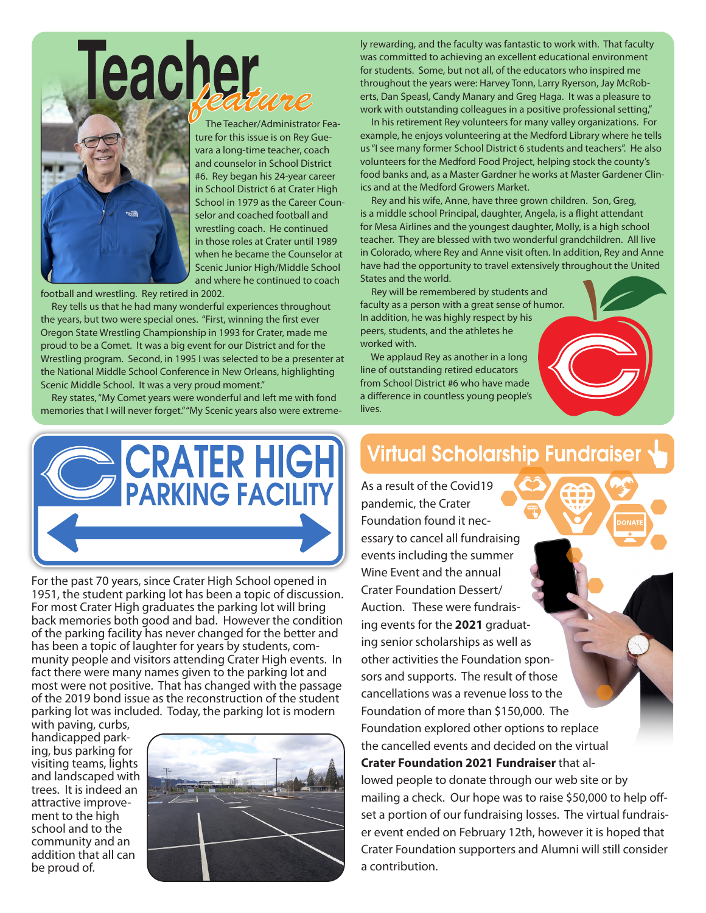

 The Teacher/Administrator Feature for this issue is on Rey Guevara a long-time teacher, coach and counselor in School District #6. Rey began his 24-year career in School District 6 at Crater High School in 1979 as the Career Counselor and coached football and wrestling coach. He continued in those roles at Crater until 1989 when he became the Counselor at Scenic Junior High/Middle School and where he continued to coach

football and wrestling. Rey retired in 2002.

 Rey tells us that he had many wonderful experiences throughout the years, but two were special ones. "First, winning the first ever Oregon State Wrestling Championship in 1993 for Crater, made me proud to be a Comet. It was a big event for our District and for the Wrestling program. Second, in 1995 I was selected to be a presenter at the National Middle School Conference in New Orleans, highlighting Scenic Middle School. It was a very proud moment."

 Rey states, "My Comet years were wonderful and left me with fond memories that I will never forget." "My Scenic years also were extremely rewarding, and the faculty was fantastic to work with. That faculty was committed to achieving an excellent educational environment for students. Some, but not all, of the educators who inspired me throughout the years were: Harvey Tonn, Larry Ryerson, Jay McRoberts, Dan Speasl, Candy Manary and Greg Haga. It was a pleasure to work with outstanding colleagues in a positive professional setting,"

 In his retirement Rey volunteers for many valley organizations. For example, he enjoys volunteering at the Medford Library where he tells us "I see many former School District 6 students and teachers". He also volunteers for the Medford Food Project, helping stock the county's food banks and, as a Master Gardner he works at Master Gardener Clinics and at the Medford Growers Market.

 Rey and his wife, Anne, have three grown children. Son, Greg, is a middle school Principal, daughter, Angela, is a flight attendant for Mesa Airlines and the youngest daughter, Molly, is a high school teacher. They are blessed with two wonderful grandchildren. All live in Colorado, where Rey and Anne visit often. In addition, Rey and Anne have had the opportunity to travel extensively throughout the United States and the world.

 Rey will be remembered by students and faculty as a person with a great sense of humor. In addition, he was highly respect by his peers, students, and the athletes he worked with.

 We applaud Rey as another in a long line of outstanding retired educators from School District #6 who have made a difference in countless young people's lives.



For the past 70 years, since Crater High School opened in 1951, the student parking lot has been a topic of discussion. For most Crater High graduates the parking lot will bring back memories both good and bad. However the condition of the parking facility has never changed for the better and has been a topic of laughter for years by students, community people and visitors attending Crater High events. In fact there were many names given to the parking lot and most were not positive. That has changed with the passage of the 2019 bond issue as the reconstruction of the student parking lot was included. Today, the parking lot is modern

with paving, curbs, handicapped parking, bus parking for visiting teams, lights and landscaped with trees. It is indeed an attractive improvement to the high school and to the community and an addition that all can be proud of.



# **Virtual Scholarship Fundraiser**

As a result of the Covid19 pandemic, the Crater Foundation found it necessary to cancel all fundraising events including the summer Wine Event and the annual Crater Foundation Dessert/ Auction. These were fundraising events for the **2021** graduating senior scholarships as well as other activities the Foundation sponsors and supports. The result of those cancellations was a revenue loss to the Foundation of more than \$150,000. The Foundation explored other options to replace the cancelled events and decided on the virtual **Crater Foundation 2021 Fundraiser** that allowed people to donate through our web site or by mailing a check. Our hope was to raise \$50,000 to help offset a portion of our fundraising losses. The virtual fundraiser event ended on February 12th, however it is hoped that Crater Foundation supporters and Alumni will still consider a contribution.